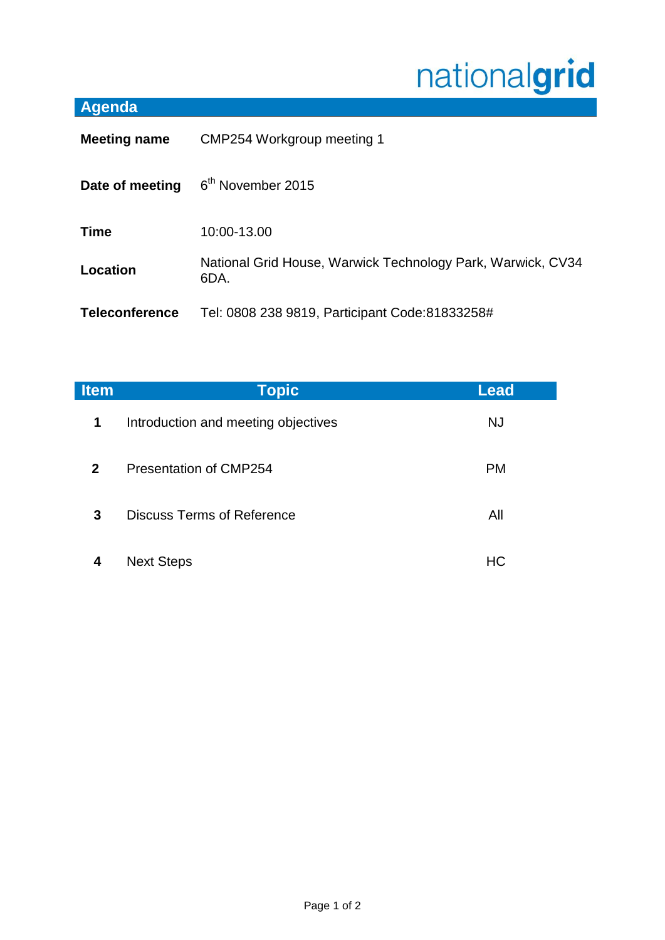## nationalgrid

## **Agenda**

| <b>Meeting name</b>   | CMP254 Workgroup meeting 1                                          |  |
|-----------------------|---------------------------------------------------------------------|--|
| Date of meeting       | 6 <sup>th</sup> November 2015                                       |  |
| <b>Time</b>           | 10:00-13.00                                                         |  |
| Location              | National Grid House, Warwick Technology Park, Warwick, CV34<br>6DA. |  |
| <b>Teleconference</b> | Tel: 0808 238 9819, Participant Code: 81833258#                     |  |

| <b>Item</b>    | <b>Topic</b>                        | Lead      |
|----------------|-------------------------------------|-----------|
| $\mathbf 1$    | Introduction and meeting objectives | <b>NJ</b> |
| 2 <sup>1</sup> | Presentation of CMP254              | <b>PM</b> |
| 3              | <b>Discuss Terms of Reference</b>   | All       |
| 4              | <b>Next Steps</b>                   | НC        |